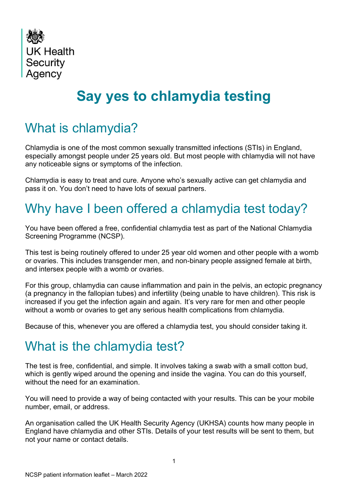

# **Say yes to chlamydia testing**

### What is chlamydia?

Chlamydia is one of the most common sexually transmitted infections (STIs) in England, especially amongst people under 25 years old. But most people with chlamydia will not have any noticeable signs or symptoms of the infection.

Chlamydia is easy to treat and cure. Anyone who's sexually active can get chlamydia and pass it on. You don't need to have lots of sexual partners.

## Why have I been offered a chlamydia test today?

You have been offered a free, confidential chlamydia test as part of the National Chlamydia Screening Programme (NCSP).

This test is being routinely offered to under 25 year old women and other people with a womb or ovaries. This includes transgender men, and non-binary people assigned female at birth, and intersex people with a womb or ovaries.

For this group, chlamydia can cause inflammation and pain in the pelvis, an ectopic pregnancy (a pregnancy in the fallopian tubes) and infertility (being unable to have children). This risk is increased if you get the infection again and again. It's very rare for men and other people without a womb or ovaries to get any serious health complications from chlamydia.

Because of this, whenever you are offered a chlamydia test, you should consider taking it.

#### What is the chlamydia test?

The test is free, confidential, and simple. It involves taking a swab with a small cotton bud, which is gently wiped around the opening and inside the vagina. You can do this yourself, without the need for an examination.

You will need to provide a way of being contacted with your results. This can be your mobile number, email, or address.

An organisation called the UK Health Security Agency (UKHSA) counts how many people in England have chlamydia and other STIs. Details of your test results will be sent to them, but not your name or contact details.